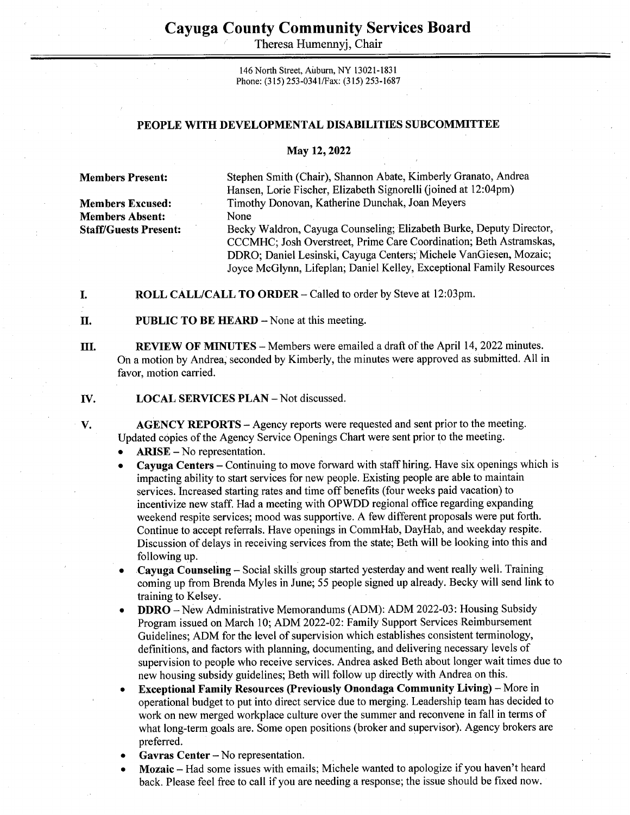## Cayuga County Community Services Board Cayuga County Comn<br>
Theresa Hum

Theresa Humennyi, Chair

146 North Street, Auburn, NY 13021-1831 Phone: (315) 253-0341/Fax: (315) 253-1687

## PEOPLE WITH DEVELOPMENTAL DISABILITIES SUBCOMMITTEE

## May 12, 2022

Members Absent: None

V.

Members Present: Stephen Smith (Chair), Shannon Abate, Kimberly Granato, Andrea Hansen, Lorie Fischer, Elizabeth Signorelli (joined at 12:04pm) Members Excused: Timothy Donovan, Katherine Dunchak, Joan Meyers

Staff/Guests Present: Becky Waldron, Cayuga Counseling; Elizabeth Burke, Deputy Director, CCCMHC; Josh Overstreet, Prime Care Coordination; Beth Astramskas, DDRO; Daniel Lesinski, Cayuga Centers; Michele VanGiesen, Mozaic; Joyce McGlynn, Lifeplan; Daniel Kelley, Exceptional Family Resources

I. ROLL CALL/CALL TO ORDER - Called to order by Steve at 12:03pm.

П. **PUBLIC TO BE HEARD –** None at this meeting.

Ul. REVIEW OF MINUTES — Members were emailed a draft of the April 14, 2022 minutes. On a motion by Andrea, seconded by Kimberly, the minutes were approved as submitted. All in favor, motion carried.

IV. LOCAL SERVICES PLAN - Not discussed.

> AGENCY REPORTS - Agency reports were requested and sent prior to the meeting. Updated copies of the Agency Service Openings Chart were sent prior to the meeting.

ARISE — No representation.

Cayuga Centers – Continuing to move forward with staff hiring. Have six openings which is impacting ability to start services for new people. Existing people are able to maintain services. Increased starting rates and time off benefits (four weeks paid vacation) to incentivize new staff. Had a meeting with OPWDD regional office regarding expanding weekend respite services; mood was supportive. A few different proposals were put forth. Continue to accept referrals. Have openings in CommHab, DayHab, and weekday respite. Discussion of delays in receiving services from the state; Beth will be looking into this and following up.

Cayuga Counseling — Social skills group started yesterday and went really well. Training coming up from Brenda Myles in June; 55 people signed up already. Becky will send link to training to Kelsey.

- DDRO New Administrative Memorandums (ADM): ADM 2022-03: Housing Subsidy Program issued on March 10; ADM 2022-02: Family Support Services Reimbursement Guidelines; ADM for the level of supervision which establishes consistent terminology, definitions, and factors with planning, documenting, and delivering necessary levels of supervision to people who receive services. Andrea asked Beth about longer wait times due to new housing subsidy guidelines; Beth will follow up directly with Andrea on this.
- Exceptional Family Resources (Previously Onondaga Community Living) More in operational budget to put into direct service due to merging. Leadership team has decided to work on new merged workplace culture over the summer and reconvene in fall in terms of what long-term goals are. Some open positions (broker and supervisor). Agency brokers are preferred.
- Gavras Center No representation.
- Mozaic Had some issues with emails; Michele wanted to apologize if you haven't heard back. Please feel free to call if you are needing a response; the issue should be fixed now.